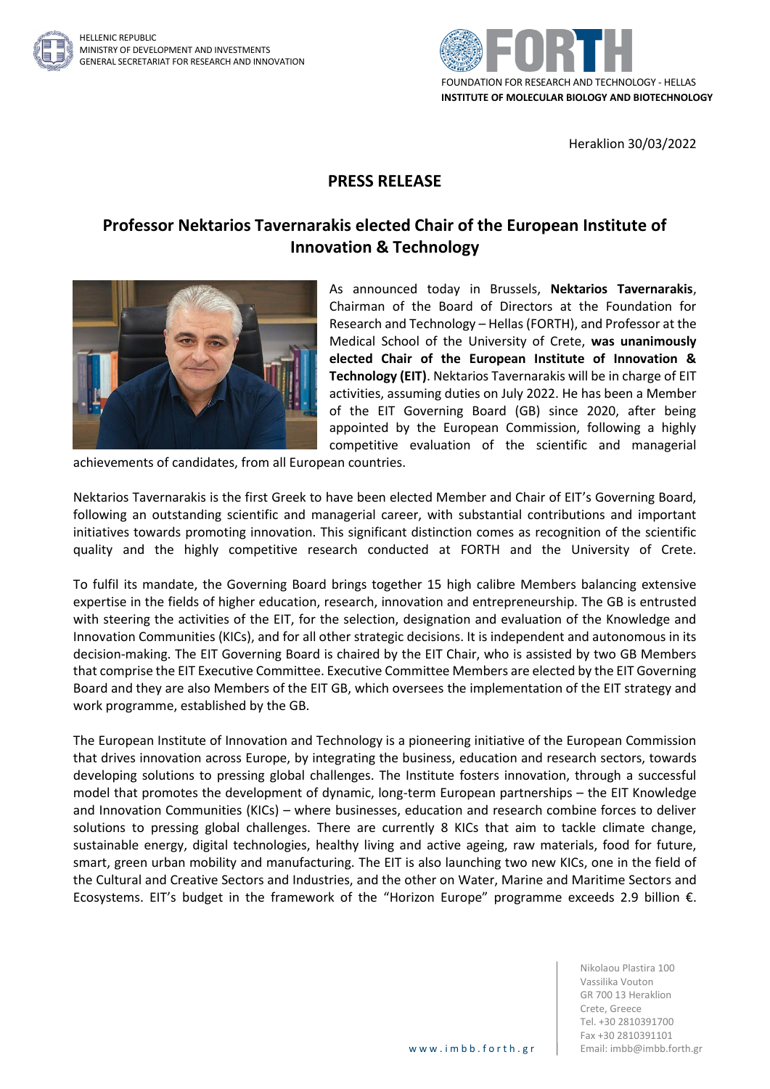



Heraklion 30/03/2022

## **PRESS RELEASE**

## **Professor Nektarios Tavernarakis elected Chair of the European Institute of Innovation & Technology**



As announced today in Brussels, **Nektarios Tavernarakis**, Chairman of the Board of Directors at the Foundation for Research and Technology – Hellas (FORTH), and Professor at the Medical School of the University of Crete, **was unanimously elected Chair of the European Institute of Innovation & Technology (EIT)**. Nektarios Tavernarakis will be in charge of EIT activities, assuming duties on July 2022. He has been a Member of the EIT Governing Board (GB) since 2020, after being appointed by the European Commission, following a highly competitive evaluation of the scientific and managerial

achievements of candidates, from all European countries.

Nektarios Tavernarakis is the first Greek to have been elected Member and Chair of EIT's Governing Board, following an outstanding scientific and managerial career, with substantial contributions and important initiatives towards promoting innovation. This significant distinction comes as recognition of the scientific quality and the highly competitive research conducted at FORTH and the University of Crete.

To fulfil its mandate, the Governing Board brings together 15 high calibre Members balancing extensive expertise in the fields of higher education, research, innovation and entrepreneurship. The GB is entrusted with steering the activities of the EIT, for the selection, designation and evaluation of the Knowledge and Innovation Communities (KICs), and for all other strategic decisions. It is independent and autonomous in its decision-making. The EIT Governing Board is chaired by the EIT Chair, who is assisted by two GB Members that comprise the EIT Executive Committee. Executive Committee Members are elected by the EIT Governing Board and they are also Members of the EIT GB, which oversees the implementation of the EIT strategy and work programme, established by the GB.

The European Institute of Innovation and Technology is a pioneering initiative of the European Commission that drives innovation across Europe, by integrating the business, education and research sectors, towards developing solutions to pressing global challenges. The Institute fosters innovation, through a successful model that promotes the development of dynamic, long-term European partnerships – the EIT Knowledge and Innovation Communities (KICs) – where businesses, education and research combine forces to deliver solutions to pressing global challenges. There are currently 8 KICs that aim to tackle climate change, sustainable energy, digital technologies, healthy living and active ageing, raw materials, food for future, smart, green urban mobility and manufacturing. Τhe EIT is also launching two new KICs, one in the field of the Cultural and Creative Sectors and Industries, and the other on Water, Marine and Maritime Sectors and Ecosystems. EIT's budget in the framework of the "Horizon Europe" programme exceeds 2.9 billion €.

> Nikolaou Plastira 100 Vassilika Vouton GR 700 13 Heraklion Crete, Greece Tel. +30 2810391700 Fax +30 2810391101 www.imbb.forth.gr | Email: imbb@imbb.forth.gr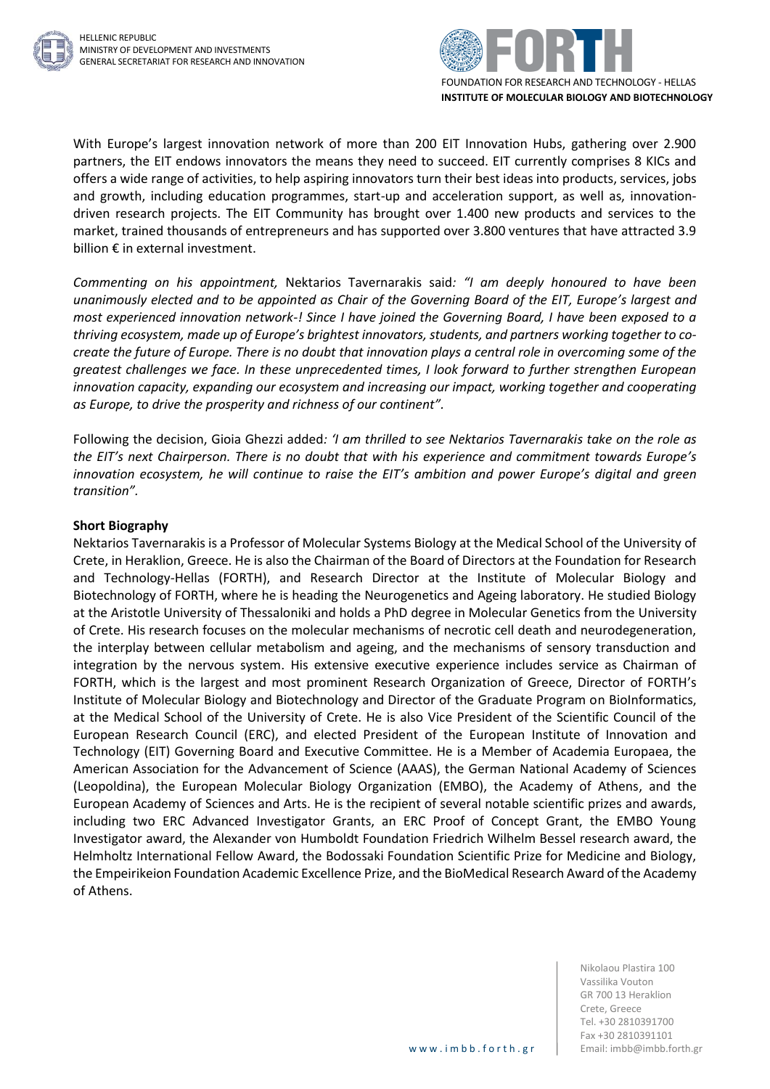



With Europe's largest innovation network of more than 200 EIT Innovation Hubs, gathering over 2.900 partners, the EIT endows innovators the means they need to succeed. EIT currently comprises 8 KICs and offers a wide range of activities, to help aspiring innovators turn their best ideas into products, services, jobs and growth, including education programmes, start-up and acceleration support, as well as, innovationdriven research projects. The EIT Community has brought over 1.400 new products and services to the market, trained thousands of entrepreneurs and has supported over 3.800 ventures that have attracted 3.9 billion € in external investment.

*Commenting on his appointment,* Nektarios Tavernarakis said*: "I am deeply honoured to have been unanimously elected and to be appointed as Chair of the Governing Board of the EIT, Europe's largest and most experienced innovation network-! Since I have joined the Governing Board, I have been exposed to a thriving ecosystem, made up of Europe's brightest innovators, students, and partners working together to cocreate the future of Europe. There is no doubt that innovation plays a central role in overcoming some of the greatest challenges we face. In these unprecedented times, I look forward to further strengthen European innovation capacity, expanding our ecosystem and increasing our impact, working together and cooperating as Europe, to drive the prosperity and richness of our continent".* 

Following the decision, Gioia Ghezzi added*: 'I am thrilled to see Nektarios Tavernarakis take on the role as the EIT's next Chairperson. There is no doubt that with his experience and commitment towards Europe's innovation ecosystem, he will continue to raise the EIT's ambition and power Europe's digital and green transition".*

## **Short Biography**

Nektarios Tavernarakis is a Professor of Molecular Systems Biology at the Medical School of the University of Crete, in Heraklion, Greece. He is also the Chairman of the Board of Directors at the Foundation for Research and Technology-Hellas (FORTH), and Research Director at the Institute of Molecular Biology and Biotechnology of FORTH, where he is heading the Neurogenetics and Ageing laboratory. He studied Biology at the Aristotle University of Thessaloniki and holds a PhD degree in Molecular Genetics from the University of Crete. His research focuses on the molecular mechanisms of necrotic cell death and neurodegeneration, the interplay between cellular metabolism and ageing, and the mechanisms of sensory transduction and integration by the nervous system. His extensive executive experience includes service as Chairman of FORTH, which is the largest and most prominent Research Organization of Greece, Director of FORTH's Institute of Molecular Biology and Biotechnology and Director of the Graduate Program on BioInformatics, at the Medical School of the University of Crete. He is also Vice President of the Scientific Council of the European Research Council (ERC), and elected President of the European Institute of Innovation and Technology (EIT) Governing Board and Executive Committee. He is a Member of Academia Europaea, the American Association for the Advancement of Science (AAAS), the German National Academy of Sciences (Leopoldina), the European Molecular Biology Organization (EMBO), the Academy of Athens, and the European Academy of Sciences and Arts. He is the recipient of several notable scientific prizes and awards, including two ERC Advanced Investigator Grants, an ERC Proof of Concept Grant, the EMBO Young Investigator award, the Alexander von Humboldt Foundation Friedrich Wilhelm Bessel research award, the Helmholtz International Fellow Award, the Bodossaki Foundation Scientific Prize for Medicine and Biology, the Empeirikeion Foundation Academic Excellence Prize, and the BioMedical Research Award of the Academy of Athens.

> Nikolaou Plastira 100 Vassilika Vouton GR 700 13 Heraklion Crete, Greece Tel. +30 2810391700 Fax +30 2810391101 www.imbb.forth.gr | Email: imbb@imbb.forth.gr